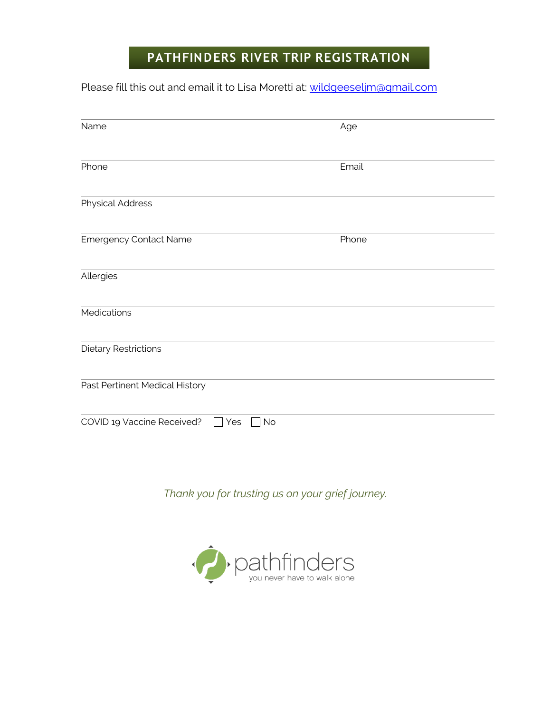# **PATHFINDERS RIVER TRIP REGISTRATION**

Please fill this out and email it to Lisa Moretti at: wildgeeseljm@gmail.com

| Name                                    | Age   |
|-----------------------------------------|-------|
| Phone                                   | Email |
| <b>Physical Address</b>                 |       |
| <b>Emergency Contact Name</b>           | Phone |
| Allergies                               |       |
| Medications                             |       |
| <b>Dietary Restrictions</b>             |       |
| Past Pertinent Medical History          |       |
| COVID 19 Vaccine Received?<br>No<br>Yes |       |

*Thank you for trusting us on your grief journey.*

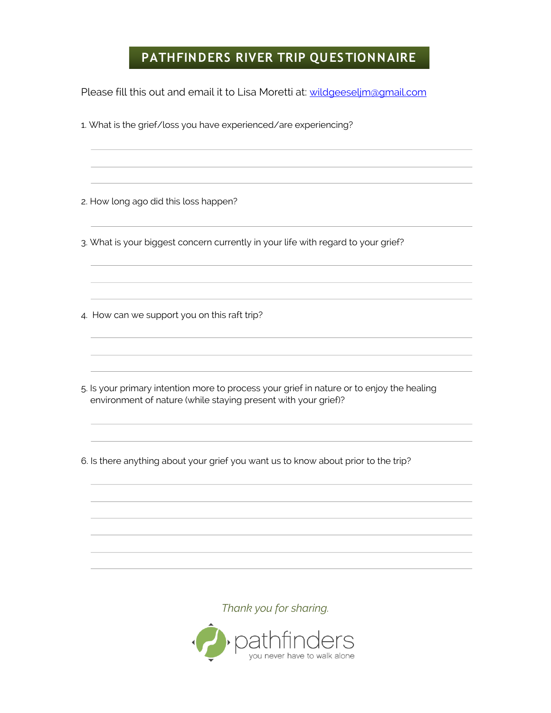### **PATHFINDERS RIVER TRIP QUESTIONNAIRE**

Please fill this out and email it to Lisa Moretti at: wildgeeselim@gmail.com

1. What is the grief/loss you have experienced/are experiencing?

2. How long ago did this loss happen?

3. What is your biggest concern currently in your life with regard to your grief?

4. How can we support you on this raft trip?

5. Is your primary intention more to process your grief in nature or to enjoy the healing environment of nature (while staying present with your grief)?

6. Is there anything about your grief you want us to know about prior to the trip?

*Thank you for sharing.*

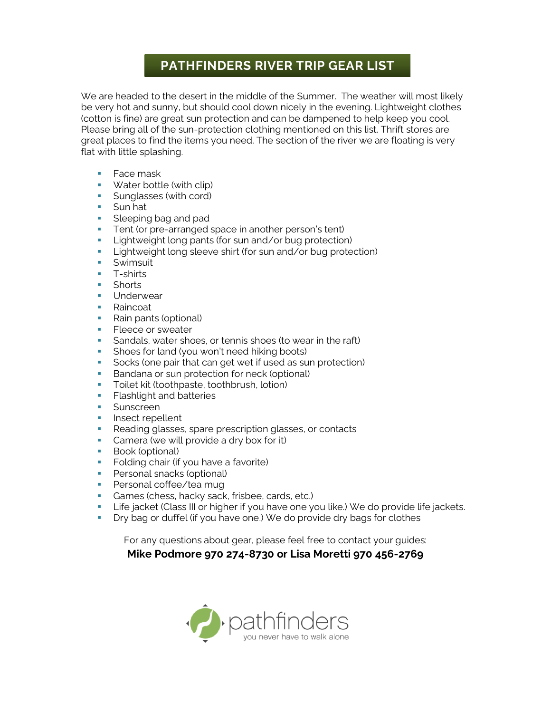### **PATHFINDERS RIVER TRIP GEAR LIST**

We are headed to the desert in the middle of the Summer. The weather will most likely be very hot and sunny, but should cool down nicely in the evening. Lightweight clothes (cotton is fine) are great sun protection and can be dampened to help keep you cool. Please bring all of the sun-protection clothing mentioned on this list. Thrift stores are great places to find the items you need. The section of the river we are floating is very flat with little splashing.

- Face mask
- **•** Water bottle (with clip)
- **E** Sunglasses (with cord)
- Sun hat
- **Example 2** Sleeping bag and pad
- **•** Tent (or pre-arranged space in another person's tent)
- **E** Lightweight long pants (for sun and/or bug protection)
- **EXECT** Lightweight long sleeve shirt (for sun and/or bug protection)
- Swimsuit
- T-shirts
- Shorts
- **■** Underwear
- Raincoat
- Rain pants (optional)
- **EXECCE OF SWEATER**
- **EXTER** Sandals, water shoes, or tennis shoes (to wear in the raft)
- **•** Shoes for land (you won't need hiking boots)
- Socks (one pair that can get wet if used as sun protection)
- **Bandana or sun protection for neck (optional)**
- **•** Toilet kit (toothpaste, toothbrush, lotion)
- **EXECUTE:** Flashlight and batteries
- **•** Sunscreen
- **·** Insect repellent
- Reading glasses, spare prescription glasses, or contacts
- **•** Camera (we will provide a dry box for it)
- Book (optional)
- **•** Folding chair (if you have a favorite)
- **•** Personal snacks (optional)
- **•** Personal coffee/tea mug
- **•** Games (chess, hacky sack, frisbee, cards, etc.)
- **E** Life jacket (Class III or higher if you have one you like.) We do provide life jackets.
- **•** Dry bag or duffel (if you have one.) We do provide dry bags for clothes

For any questions about gear, please feel free to contact your guides:

#### **Mike Podmore 970 274-8730 or Lisa Moretti 970 456-2769**

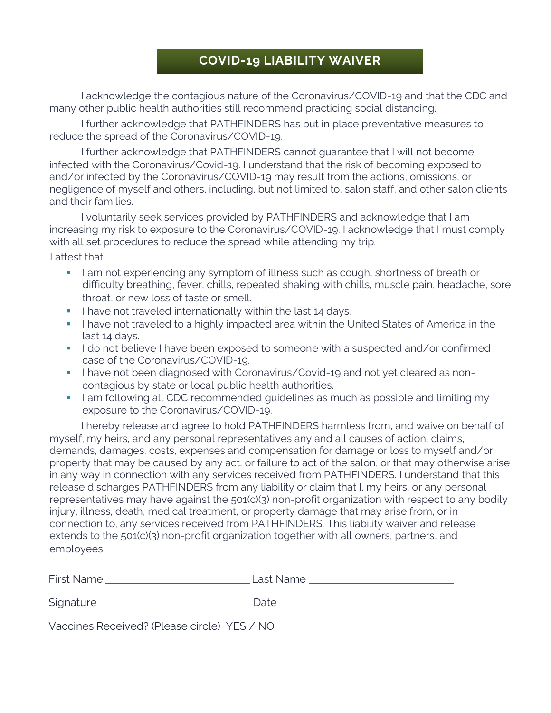## **COVID-19 LIABILITY WAIVER**

I acknowledge the contagious nature of the Coronavirus/COVID-19 and that the CDC and many other public health authorities still recommend practicing social distancing.

I further acknowledge that PATHFINDERS has put in place preventative measures to reduce the spread of the Coronavirus/COVID-19.

I further acknowledge that PATHFINDERS cannot guarantee that I will not become infected with the Coronavirus/Covid-19. I understand that the risk of becoming exposed to and/or infected by the Coronavirus/COVID-19 may result from the actions, omissions, or negligence of myself and others, including, but not limited to, salon staff, and other salon clients and their families.

I voluntarily seek services provided by PATHFINDERS and acknowledge that I am increasing my risk to exposure to the Coronavirus/COVID-19. I acknowledge that I must comply with all set procedures to reduce the spread while attending my trip.

I attest that:

- **I am not experiencing any symptom of illness such as cough, shortness of breath or** difficulty breathing, fever, chills, repeated shaking with chills, muscle pain, headache, sore throat, or new loss of taste or smell.
- **.** I have not traveled internationally within the last 14 days.
- **I have not traveled to a highly impacted area within the United States of America in the** last 14 days.
- I do not believe I have been exposed to someone with a suspected and/or confirmed case of the Coronavirus/COVID-19.
- **.** I have not been diagnosed with Coronavirus/Covid-19 and not yet cleared as noncontagious by state or local public health authorities.
- **•** I am following all CDC recommended quidelines as much as possible and limiting my exposure to the Coronavirus/COVID-19.

I hereby release and agree to hold PATHFINDERS harmless from, and waive on behalf of myself, my heirs, and any personal representatives any and all causes of action, claims, demands, damages, costs, expenses and compensation for damage or loss to myself and/or property that may be caused by any act, or failure to act of the salon, or that may otherwise arise in any way in connection with any services received from PATHFINDERS. I understand that this release discharges PATHFINDERS from any liability or claim that I, my heirs, or any personal representatives may have against the 501(c)(3) non-profit organization with respect to any bodily injury, illness, death, medical treatment, or property damage that may arise from, or in connection to, any services received from PATHFINDERS. This liability waiver and release extends to the 501(c)(3) non-profit organization together with all owners, partners, and employees.

| <b>First Name</b>                           | Last Name |
|---------------------------------------------|-----------|
| Signature                                   | Date.     |
| Vaccines Received? (Please circle) YES / NO |           |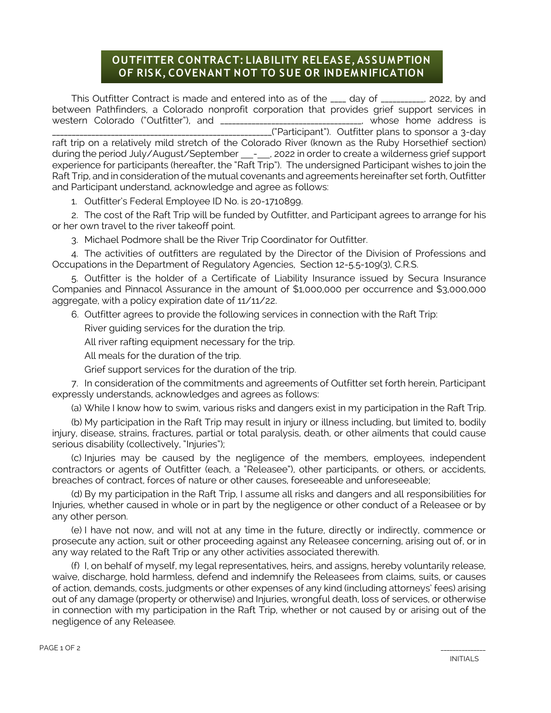#### OF RISK, COVENANT NOT TO SUE OR INDEMNIFICATION **OUTFITTER CONTRACT: LIABILITY RELEASE, ASSUM PTION**

This Outfitter Contract is made and entered into as of the \_\_\_\_ day of \_\_\_\_\_\_\_\_\_\_, 2022, by and between Pathfinders, a Colorado nonprofit corporation that provides grief support services in western Colorado ("Outfitter"), and \_\_\_\_\_\_\_\_\_\_\_\_\_\_\_\_\_\_\_\_\_\_\_\_\_\_\_\_\_\_\_\_\_\_\_\_, whose home address is \_\_\_("Participant"). Outfitter plans to sponsor a 3-day raft trip on a relatively mild stretch of the Colorado River (known as the Ruby Horsethief section) during the period July/August/September - , 2022 in order to create a wilderness grief support experience for participants (hereafter, the "Raft Trip"). The undersigned Participant wishes to join the Raft Trip, and in consideration of the mutual covenants and agreements hereinafter set forth, Outfitter and Participant understand, acknowledge and agree as follows:

1. Outfitter's Federal Employee ID No. is 20-1710899.

2. The cost of the Raft Trip will be funded by Outfitter, and Participant agrees to arrange for his or her own travel to the river takeoff point.

3. Michael Podmore shall be the River Trip Coordinator for Outfitter.

4. The activities of outfitters are regulated by the Director of the Division of Professions and Occupations in the Department of Regulatory Agencies, Section 12-5.5-109(3), C.R.S.

5. Outfitter is the holder of a Certificate of Liability Insurance issued by Secura Insurance Companies and Pinnacol Assurance in the amount of \$1,000,000 per occurrence and \$3,000,000 aggregate, with a policy expiration date of 11/11/22.

6. Outfitter agrees to provide the following services in connection with the Raft Trip:

River guiding services for the duration the trip.

All river rafting equipment necessary for the trip.

All meals for the duration of the trip.

Grief support services for the duration of the trip.

7. In consideration of the commitments and agreements of Outfitter set forth herein, Participant expressly understands, acknowledges and agrees as follows:

(a) While I know how to swim, various risks and dangers exist in my participation in the Raft Trip.

(b) My participation in the Raft Trip may result in injury or illness including, but limited to, bodily injury, disease, strains, fractures, partial or total paralysis, death, or other ailments that could cause serious disability (collectively, "Injuries");

(c) Injuries may be caused by the negligence of the members, employees, independent contractors or agents of Outfitter (each, a "Releasee"), other participants, or others, or accidents, breaches of contract, forces of nature or other causes, foreseeable and unforeseeable;

(d) By my participation in the Raft Trip, I assume all risks and dangers and all responsibilities for Injuries, whether caused in whole or in part by the negligence or other conduct of a Releasee or by any other person.

(e) I have not now, and will not at any time in the future, directly or indirectly, commence or prosecute any action, suit or other proceeding against any Releasee concerning, arising out of, or in any way related to the Raft Trip or any other activities associated therewith.

(f) I, on behalf of myself, my legal representatives, heirs, and assigns, hereby voluntarily release, waive, discharge, hold harmless, defend and indemnify the Releasees from claims, suits, or causes of action, demands, costs, judgments or other expenses of any kind (including attorneys' fees) arising out of any damage (property or otherwise) and Injuries, wrongful death, loss of services, or otherwise in connection with my participation in the Raft Trip, whether or not caused by or arising out of the negligence of any Releasee.